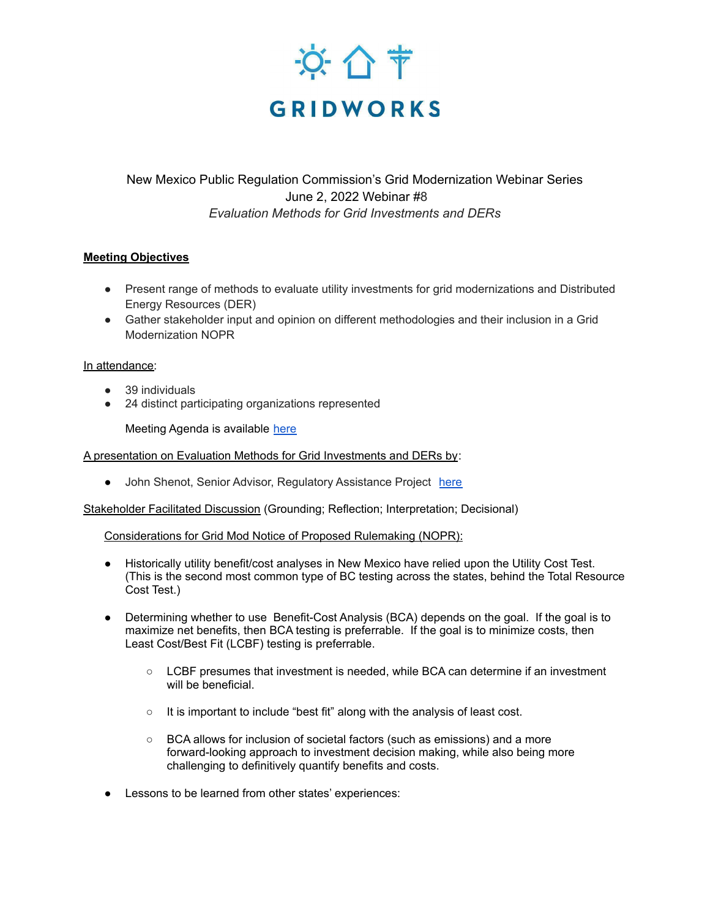

# New Mexico Public Regulation Commission's Grid Modernization Webinar Series June 2, 2022 Webinar #8 *Evaluation Methods for Grid Investments and DERs*

# **Meeting Objectives**

- Present range of methods to evaluate utility investments for grid modernizations and Distributed Energy Resources (DER)
- Gather stakeholder input and opinion on different methodologies and their inclusion in a Grid Modernization NOPR

#### In attendance:

- 39 individuals
- 24 distinct participating organizations represented

Meeting Agenda is available [here](https://gridworks.org/wp-content/uploads/2022/06/June-2-Agenda-Eval-Methods.docx-2.pdf)

## A presentation on Evaluation Methods for Grid Investments and DERs by:

• John Shenot, Senior Advisor, Regulatory Assistance Project [here](https://gridworks.org/wp-content/uploads/2022/06/RAP_Shenot_Evaluating-Cost-Effectiveness-of-Distribution-System-Investments_NM-PRC_2022_JUN_02.pdf)

Stakeholder Facilitated Discussion (Grounding; Reflection; Interpretation; Decisional)

Considerations for Grid Mod Notice of Proposed Rulemaking (NOPR):

- Historically utility benefit/cost analyses in New Mexico have relied upon the Utility Cost Test. (This is the second most common type of BC testing across the states, behind the Total Resource Cost Test.)
- Determining whether to use Benefit-Cost Analysis (BCA) depends on the goal. If the goal is to maximize net benefits, then BCA testing is preferrable. If the goal is to minimize costs, then Least Cost/Best Fit (LCBF) testing is preferrable.
	- LCBF presumes that investment is needed, while BCA can determine if an investment will be beneficial
	- It is important to include "best fit" along with the analysis of least cost.
	- BCA allows for inclusion of societal factors (such as emissions) and a more forward-looking approach to investment decision making, while also being more challenging to definitively quantify benefits and costs.
- Lessons to be learned from other states' experiences: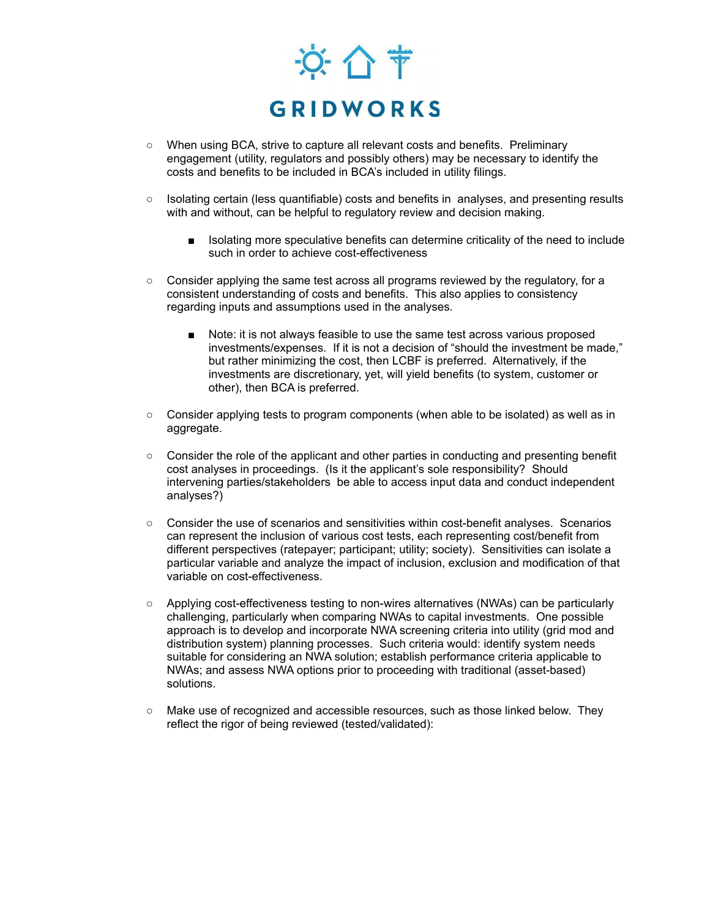

- When using BCA, strive to capture all relevant costs and benefits. Preliminary engagement (utility, regulators and possibly others) may be necessary to identify the costs and benefits to be included in BCA's included in utility filings.
- Isolating certain (less quantifiable) costs and benefits in analyses, and presenting results with and without, can be helpful to regulatory review and decision making.
	- Isolating more speculative benefits can determine criticality of the need to include such in order to achieve cost-effectiveness
- Consider applying the same test across all programs reviewed by the regulatory, for a consistent understanding of costs and benefits. This also applies to consistency regarding inputs and assumptions used in the analyses.
	- Note: it is not always feasible to use the same test across various proposed investments/expenses. If it is not a decision of "should the investment be made," but rather minimizing the cost, then LCBF is preferred. Alternatively, if the investments are discretionary, yet, will yield benefits (to system, customer or other), then BCA is preferred.
- Consider applying tests to program components (when able to be isolated) as well as in aggregate.
- Consider the role of the applicant and other parties in conducting and presenting benefit cost analyses in proceedings. (Is it the applicant's sole responsibility? Should intervening parties/stakeholders be able to access input data and conduct independent analyses?)
- Consider the use of scenarios and sensitivities within cost-benefit analyses. Scenarios can represent the inclusion of various cost tests, each representing cost/benefit from different perspectives (ratepayer; participant; utility; society). Sensitivities can isolate a particular variable and analyze the impact of inclusion, exclusion and modification of that variable on cost-effectiveness.
- Applying cost-effectiveness testing to non-wires alternatives (NWAs) can be particularly challenging, particularly when comparing NWAs to capital investments. One possible approach is to develop and incorporate NWA screening criteria into utility (grid mod and distribution system) planning processes. Such criteria would: identify system needs suitable for considering an NWA solution; establish performance criteria applicable to NWAs; and assess NWA options prior to proceeding with traditional (asset-based) solutions.
- Make use of recognized and accessible resources, such as those linked below. They reflect the rigor of being reviewed (tested/validated):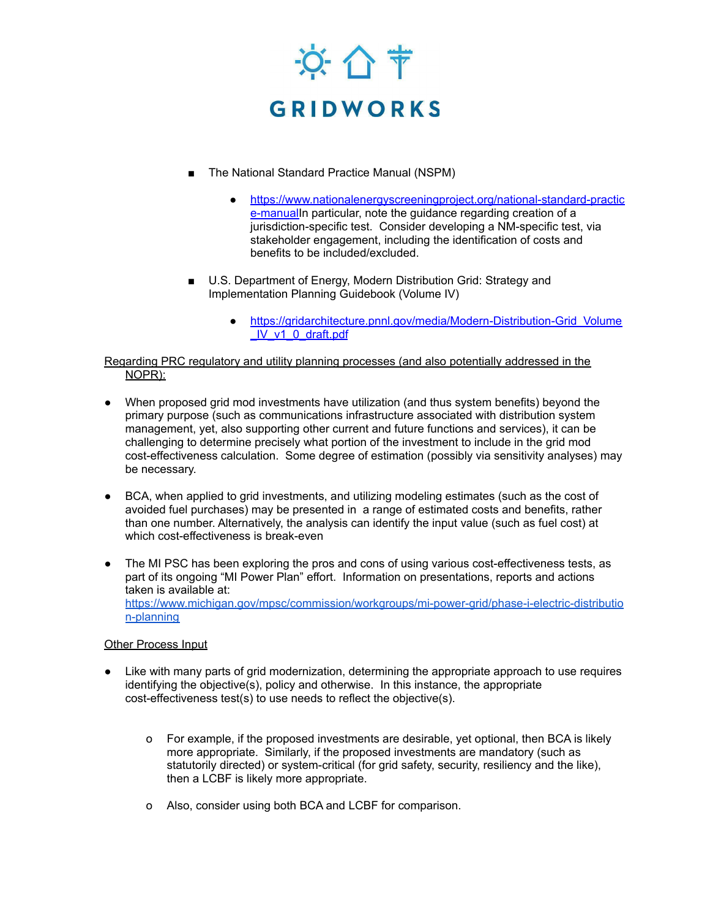

- The National Standard Practice Manual (NSPM)
	- [https://www.nationalenergyscreeningproject.org/national-standard-practic](https://www.nationalenergyscreeningproject.org/national-standard-practice-manual/) [e-manualI](https://www.nationalenergyscreeningproject.org/national-standard-practice-manual/)n particular, note the guidance regarding creation of a jurisdiction-specific test. Consider developing a NM-specific test, via stakeholder engagement, including the identification of costs and benefits to be included/excluded.
- U.S. Department of Energy, Modern Distribution Grid: Strategy and Implementation Planning Guidebook (Volume IV)
	- [https://gridarchitecture.pnnl.gov/media/Modern-Distribution-Grid\\_Volume](https://gridarchitecture.pnnl.gov/media/Modern-Distribution-Grid_Volume_IV_v1_0_draft.pdf) [\\_IV\\_v1\\_0\\_draft.pdf](https://gridarchitecture.pnnl.gov/media/Modern-Distribution-Grid_Volume_IV_v1_0_draft.pdf)

#### Regarding PRC regulatory and utility planning processes (and also potentially addressed in the NOPR):

- When proposed grid mod investments have utilization (and thus system benefits) beyond the primary purpose (such as communications infrastructure associated with distribution system management, yet, also supporting other current and future functions and services), it can be challenging to determine precisely what portion of the investment to include in the grid mod cost-effectiveness calculation. Some degree of estimation (possibly via sensitivity analyses) may be necessary.
- BCA, when applied to grid investments, and utilizing modeling estimates (such as the cost of avoided fuel purchases) may be presented in a range of estimated costs and benefits, rather than one number. Alternatively, the analysis can identify the input value (such as fuel cost) at which cost-effectiveness is break-even
- The MI PSC has been exploring the pros and cons of using various cost-effectiveness tests, as part of its ongoing "MI Power Plan" effort. Information on presentations, reports and actions taken is available at: [https://www.michigan.gov/mpsc/commission/workgroups/mi-power-grid/phase-i-electric-distributio](https://www.michigan.gov/mpsc/commission/workgroups/mi-power-grid/phase-i-electric-distribution-planning) [n-planning](https://www.michigan.gov/mpsc/commission/workgroups/mi-power-grid/phase-i-electric-distribution-planning)

## **Other Process Input**

- Like with many parts of grid modernization, determining the appropriate approach to use requires identifying the objective(s), policy and otherwise. In this instance, the appropriate cost-effectiveness test(s) to use needs to reflect the objective(s).
	- o For example, if the proposed investments are desirable, yet optional, then BCA is likely more appropriate. Similarly, if the proposed investments are mandatory (such as statutorily directed) or system-critical (for grid safety, security, resiliency and the like), then a LCBF is likely more appropriate.
	- o Also, consider using both BCA and LCBF for comparison.